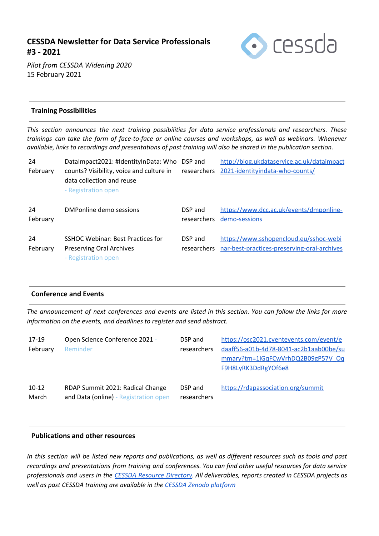# **CESSDA Newsletter for Data Service Professionals #3 - 2021**



*Pilot from CESSDA Widening 2020* 15 February 2021

### **Training Possibilities**

*This section announces the next training possibilities for data service professionals and researchers. These* trainings can take the form of face-to-face or online courses and workshops, as well as webinars. Whenever available, links to recordings and presentations of past training will also be shared in the publication section.

| 24<br>February | DataImpact2021: #IdentityInData: Who<br>counts? Visibility, voice and culture in<br>data collection and reuse<br>- Registration open | DSP and<br>researchers | http://blog.ukdataservice.ac.uk/dataimpact<br>2021-identityindata-who-counts/         |
|----------------|--------------------------------------------------------------------------------------------------------------------------------------|------------------------|---------------------------------------------------------------------------------------|
| 24<br>February | DMPonline demo sessions                                                                                                              | DSP and<br>researchers | https://www.dcc.ac.uk/events/dmponline-<br>demo-sessions                              |
| 24<br>February | SSHOC Webinar: Best Practices for<br><b>Preserving Oral Archives</b><br>- Registration open                                          | DSP and<br>researchers | https://www.sshopencloud.eu/sshoc-webi<br>nar-best-practices-preserving-oral-archives |

#### **Conference and Events**

The announcement of next conferences and events are listed in this section. You can follow the links for more *information on the events, and deadlines to register and send abstract.*

| 17-19    | Open Science Conference 2021 -        | DSP and     | https://osc2021.cventevents.com/event/e |
|----------|---------------------------------------|-------------|-----------------------------------------|
| February | Reminder                              | researchers | daaff56-a01b-4d78-8041-ac2b1aab00be/su  |
|          |                                       |             | mmary?tm=1iGqFCwVrhDQ2B09gP57V_Oq       |
|          |                                       |             | F9H8LyRK3DdRgYOf6e8                     |
|          |                                       |             |                                         |
| $10-12$  | RDAP Summit 2021: Radical Change      | DSP and     | https://rdapassociation.org/summit      |
| March    | and Data (online) - Registration open | researchers |                                         |

#### **Publications and other resources**

In this section will be listed new reports and publications, as well as different resources such as tools and past *recordings and presentations from training and conferences. You can find other useful resources for data service* professionals and users in the CESSDA Resource [Directory.](https://www.zotero.org/groups/2382601/cessda_resource_directory/library) All deliverables, reports created in CESSDA projects as *well as past CESSDA training are available in the CESSDA Zenodo [platform](https://zenodo.org/communities/cessda/)*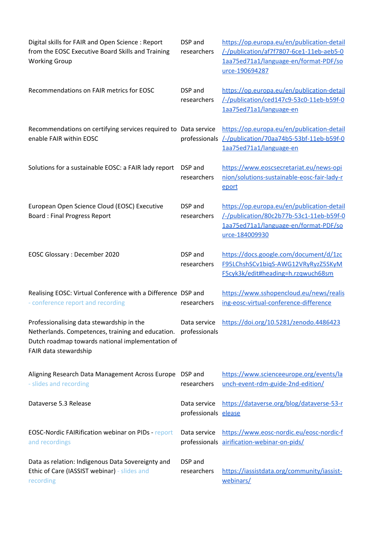| Digital skills for FAIR and Open Science: Report<br>from the EOSC Executive Board Skills and Training<br><b>Working Group</b>                                               | DSP and<br>researchers               | https://op.europa.eu/en/publication-detail<br>/-/publication/af7f7807-6ce1-11eb-aeb5-0<br>1aa75ed71a1/language-en/format-PDF/so<br>urce-190694287 |
|-----------------------------------------------------------------------------------------------------------------------------------------------------------------------------|--------------------------------------|---------------------------------------------------------------------------------------------------------------------------------------------------|
| Recommendations on FAIR metrics for EOSC                                                                                                                                    | DSP and<br>researchers               | https://op.europa.eu/en/publication-detail<br>/-/publication/ced147c9-53c0-11eb-b59f-0<br>1aa75ed71a1/language-en                                 |
| Recommendations on certifying services required to Data service<br>enable FAIR within EOSC                                                                                  |                                      | https://op.europa.eu/en/publication-detail<br>professionals /-/publication/70aa74b5-53bf-11eb-b59f-0<br>1aa75ed71a1/language-en                   |
| Solutions for a sustainable EOSC: a FAIR lady report                                                                                                                        | DSP and<br>researchers               | https://www.eoscsecretariat.eu/news-opi<br>nion/solutions-sustainable-eosc-fair-lady-r<br>eport                                                   |
| European Open Science Cloud (EOSC) Executive<br><b>Board: Final Progress Report</b>                                                                                         | DSP and<br>researchers               | https://op.europa.eu/en/publication-detail<br>/-/publication/80c2b77b-53c1-11eb-b59f-0<br>1aa75ed71a1/language-en/format-PDF/so<br>urce-184009930 |
| <b>EOSC Glossary: December 2020</b>                                                                                                                                         | DSP and<br>researchers               | https://docs.google.com/document/d/1zc<br>F95LChshSCv1bigS-AWG12VRyRyzZ5SKyM<br>F5cyk3k/edit#heading=h.rzqwuch68sm                                |
| Realising EOSC: Virtual Conference with a Difference DSP and<br>- conference report and recording                                                                           | researchers                          | https://www.sshopencloud.eu/news/realis<br>ing-eosc-virtual-conference-difference                                                                 |
| Professionalising data stewardship in the<br>Netherlands. Competences, training and education.<br>Dutch roadmap towards national implementation of<br>FAIR data stewardship | professionals                        | Data service https://doi.org/10.5281/zenodo.4486423                                                                                               |
| Aligning Research Data Management Across Europe DSP and<br>- slides and recording                                                                                           | researchers                          | https://www.scienceeurope.org/events/la<br>unch-event-rdm-guide-2nd-edition/                                                                      |
| Dataverse 5.3 Release                                                                                                                                                       | Data service<br>professionals elease | https://dataverse.org/blog/dataverse-53-r                                                                                                         |
| <b>EOSC-Nordic FAIRification webinar on PIDs - report</b><br>and recordings                                                                                                 | Data service                         | https://www.eosc-nordic.eu/eosc-nordic-f<br>professionals airification-webinar-on-pids/                                                           |
| Data as relation: Indigenous Data Sovereignty and<br>Ethic of Care (IASSIST webinar) - slides and<br>recording                                                              | DSP and<br>researchers               | https://iassistdata.org/community/iassist-<br>webinars/                                                                                           |